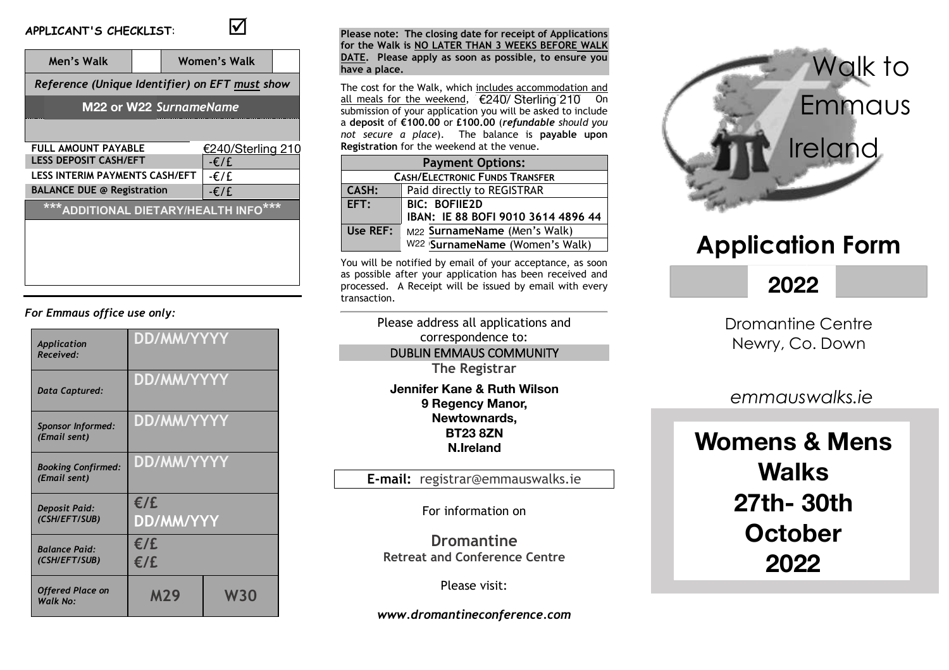## **APPLICANT'S CHECKLIST**: ;



| Men's Walk                                               |                | Women's Walk |                   |  |  |
|----------------------------------------------------------|----------------|--------------|-------------------|--|--|
| Reference (Unique Identifier) on EFT must show           |                |              |                   |  |  |
| M22 or W22 SurnameName                                   |                |              |                   |  |  |
|                                                          |                |              |                   |  |  |
| <b>FULL AMOUNT PAYABLE</b>                               |                |              | €240/Sterling 210 |  |  |
| <b>LESS DEPOSIT CASH/EFT</b>                             |                |              | $-\epsilon$ /£    |  |  |
| <b>LESS INTERIM PAYMENTS CASH/EFT</b><br>$-\epsilon$ / f |                |              |                   |  |  |
| <b>BALANCE DUE @ Registration</b>                        | $-\epsilon$ /£ |              |                   |  |  |
| ***ADDITIONAL DIETARY/HEALTH INFO***                     |                |              |                   |  |  |
|                                                          |                |              |                   |  |  |
|                                                          |                |              |                   |  |  |
|                                                          |                |              |                   |  |  |
|                                                          |                |              |                   |  |  |

## *For Emmaus office use only:*

| Application<br>Received:                  | DD/MM/YYYY              |            |  |
|-------------------------------------------|-------------------------|------------|--|
| Data Captured:                            | <b>DD/MM/YYYY</b>       |            |  |
| <b>Sponsor Informed:</b><br>(Email sent)  | DD/MM/YYYY              |            |  |
| <b>Booking Confirmed:</b><br>(Email sent) | DD/MM/YYYY              |            |  |
| <b>Deposit Paid:</b><br>(CSH/EFT/SUB)     | E/E<br><b>DD/MM/YYY</b> |            |  |
| <b>Balance Paid:</b><br>(CSH/EFT/SUB)     | E/E<br>E/E              |            |  |
| <b>Offered Place on</b><br>Walk No:       | <b>M29</b>              | <b>W30</b> |  |

#### **Please note: The closing date for receipt of Applications for the Walk is NO LATER THAN 3 WEEKS BEFORE WALK DATE. Please apply as soon as possible, to ensure you have a place.**

The cost for the Walk, which includes accommodation and all meals for the weekend, €240/ Sterling 210 On submission of your application you will be asked to include a **deposit** of **½100.00** or **£100.00** (*refundable should you not secure a place*). The balance is **payable upon Registration** for the weekend at the venue.

| <b>Payment Options:</b>               |                                    |  |  |  |  |
|---------------------------------------|------------------------------------|--|--|--|--|
| <b>CASH/ELECTRONIC FUNDS TRANSFER</b> |                                    |  |  |  |  |
| <b>CASH:</b>                          | Paid directly to REGISTRAR         |  |  |  |  |
| EFT:                                  | <b>BIC: BOFIIE2D</b>               |  |  |  |  |
|                                       | IBAN: IE 88 BOFI 9010 3614 4896 44 |  |  |  |  |
| Use REF:                              | M22 SurnameName (Men's Walk)       |  |  |  |  |
|                                       | W22 'SurnameName (Women's Walk)    |  |  |  |  |

You will be notified by email of your acceptance, as soon as possible after your application has been received and processed. A Receipt will be issued by email with every transaction.

> Please address all applications and correspondence to: DUBLIN EMMAUS COMMUNITY **The Registrar c/o Mrs Michelle Irons Jennifer Kane & Ruth Wilson**  n<del>on name a namen</del><br>9 Regency Manor, station Road Newtownards, **BT23 8ZN N.Ireland**

**E-mail:** registrar@emmauswalks.ie

For information on

**Dromantine Retreat and Conference Centre**

Please visit:

*www.dromantineconference.com*



# **Application Form**

# **2019 2022**

Dromantine Centre Newry, Co. Down

*emmauswalks.ie*

## **Womens & Mens Walks**  $\Omega$ otober  $\frac{1}{2}$ **27th- 30th October 2022**